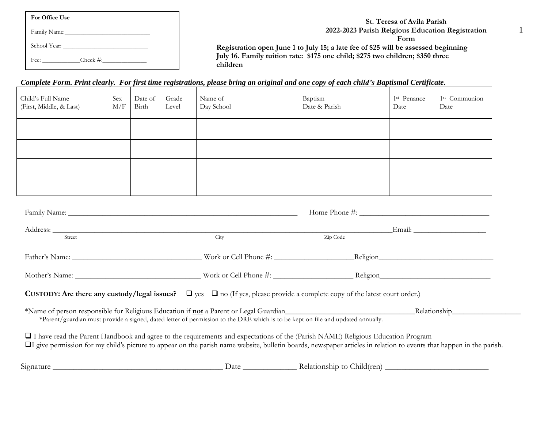| For Office Use              |  |
|-----------------------------|--|
| Family Name:                |  |
| School Year:                |  |
| Check $\#$ :<br>Fee: $\_\_$ |  |

## **St. Teresa of Avila Parish 2022-2023 Parish Relgious Education Registration Form Registration open June 1 to July 15; a late fee of \$25 will be assessed beginning**

**July 16. Family tuition rate: \$175 one child; \$275 two children; \$350 three children**

## *Complete Form. Print clearly. For first time registrations, please bring an original and one copy of each child's Baptismal Certificate.*

| Child's Full Name<br>(First, Middle, & Last) | Sex<br>M/F | Date of<br>Birth | Grade<br>Level | Name of<br>Day School                                                                                                                                                                                                                                                                                  | Baptism<br>Date & Parish | 1 <sup>st</sup> Penance<br>Date | 1 <sup>st</sup> Communion<br>Date |
|----------------------------------------------|------------|------------------|----------------|--------------------------------------------------------------------------------------------------------------------------------------------------------------------------------------------------------------------------------------------------------------------------------------------------------|--------------------------|---------------------------------|-----------------------------------|
|                                              |            |                  |                |                                                                                                                                                                                                                                                                                                        |                          |                                 |                                   |
|                                              |            |                  |                |                                                                                                                                                                                                                                                                                                        |                          |                                 |                                   |
|                                              |            |                  |                |                                                                                                                                                                                                                                                                                                        |                          |                                 |                                   |
|                                              |            |                  |                |                                                                                                                                                                                                                                                                                                        |                          |                                 |                                   |
|                                              |            |                  |                |                                                                                                                                                                                                                                                                                                        |                          |                                 |                                   |
|                                              |            |                  |                | Address: Email: Email: Email: Email: Email: Email: Email: Email: Email: Email: Email: Email: Email: Email: Email: Email: Email: Email: Email: Email: Email: Email: Email: Email: Email: Email: Email: Email: Email: Email: Ema                                                                         |                          |                                 |                                   |
|                                              |            |                  |                |                                                                                                                                                                                                                                                                                                        |                          |                                 |                                   |
|                                              |            |                  |                |                                                                                                                                                                                                                                                                                                        |                          |                                 |                                   |
|                                              |            |                  |                | <b>CUSTODY:</b> Are there any custody/legal issues? $\Box$ yes $\Box$ no (If yes, please provide a complete copy of the latest court order.)                                                                                                                                                           |                          |                                 |                                   |
|                                              |            |                  |                | *Name of person responsible for Religious Education if <b>not</b> a Parent or Legal Guardian<br>*Parent/guardian must provide a signed, dated letter of permission to the DRE which is to be kept on file and updated annually.                                                                        |                          |                                 | Relationship                      |
|                                              |            |                  |                | I have read the Parent Handbook and agree to the requirements and expectations of the (Parish NAME) Religious Education Program<br>I give permission for my child's picture to appear on the parish name website, bulletin boards, newspaper articles in relation to events that happen in the parish. |                          |                                 |                                   |
| Signature                                    |            |                  |                |                                                                                                                                                                                                                                                                                                        |                          |                                 |                                   |

1